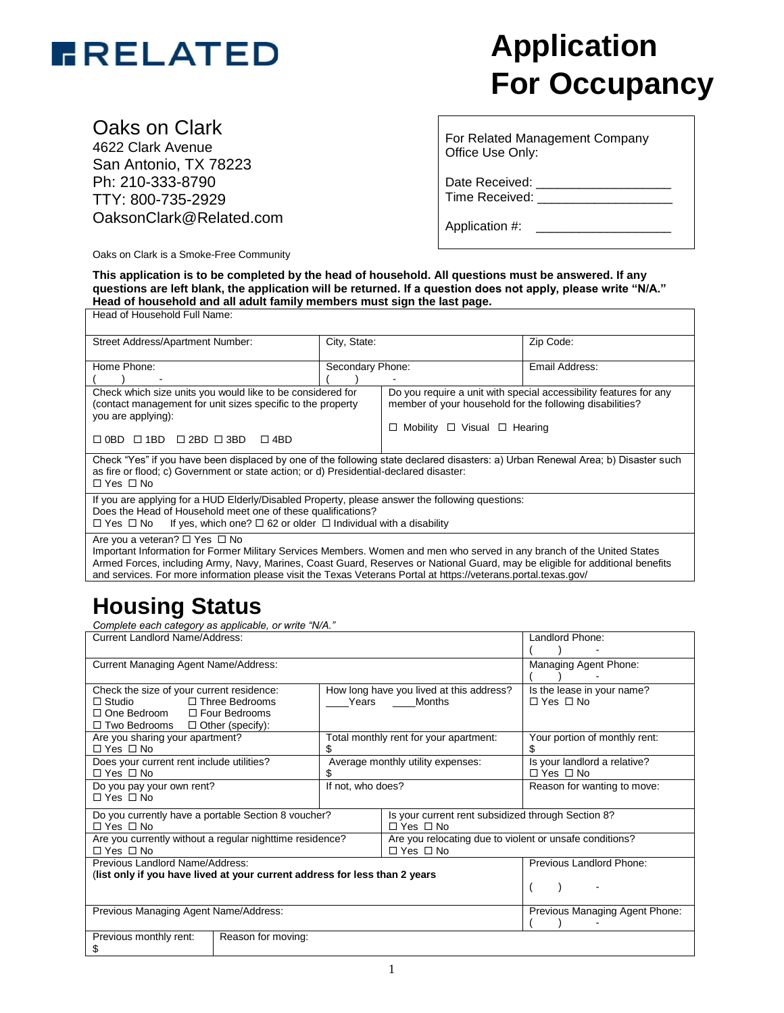

# **For Occupancy**

Oaks on Clark

4622 Clark Avenue San Antonio, TX 78223 Ph: 210-333-8790 TTY: 800-735-2929 OaksonClark@Related.com

Oaks on Clark is a Smoke-Free Community

For Related Management Company Office Use Only:

Date Received: Time Received:

Application #: \_\_\_\_\_\_\_\_\_\_\_\_\_\_\_\_\_\_\_

**This application is to be completed by the head of household. All questions must be answered. If any questions are left blank, the application will be returned. If a question does not apply, please write "N/A." Head of household and all adult family members must sign the last page.**

| Head of Household Full Name:                                                                                                                                                                                                                                      |                  |                                                                                                                                                                        |                |  |
|-------------------------------------------------------------------------------------------------------------------------------------------------------------------------------------------------------------------------------------------------------------------|------------------|------------------------------------------------------------------------------------------------------------------------------------------------------------------------|----------------|--|
| Street Address/Apartment Number:                                                                                                                                                                                                                                  | City, State:     |                                                                                                                                                                        | Zip Code:      |  |
| Home Phone:                                                                                                                                                                                                                                                       | Secondary Phone: |                                                                                                                                                                        | Email Address: |  |
| Check which size units you would like to be considered for<br>(contact management for unit sizes specific to the property<br>you are applying):<br>$\Box$ OBD $\Box$ 1BD $\Box$ 2BD $\Box$ 3BD<br>$\Box$ 4BD                                                      |                  | Do you require a unit with special accessibility features for any<br>member of your household for the following disabilities?<br>Mobility $\Box$ Visual $\Box$ Hearing |                |  |
| Check "Yes" if you have been displaced by one of the following state declared disasters: a) Urban Renewal Area; b) Disaster such<br>as fire or flood; c) Government or state action; or d) Presidential-declared disaster:<br>$\Box$ Yes $\Box$ No                |                  |                                                                                                                                                                        |                |  |
| If you are applying for a HUD Elderly/Disabled Property, please answer the following questions:<br>Does the Head of Household meet one of these qualifications?<br>$\Box$ Yes $\Box$ No If yes, which one? $\Box$ 62 or older $\Box$ Individual with a disability |                  |                                                                                                                                                                        |                |  |
| Are you a veteran? $\Box$ Yes $\Box$ No                                                                                                                                                                                                                           |                  |                                                                                                                                                                        |                |  |

Important Information for Former Military Services Members. Women and men who served in any branch of the United States Armed Forces, including Army, Navy, Marines, Coast Guard, Reserves or National Guard, may be eligible for additional benefits and services. For more information please visit the Texas Veterans Portal at https://veterans.portal.texas.gov/

## **Housing Status**

*Complete each category as applicable, or write "N/A."*

| <b>Current Landlord Name/Address:</b>                                      |                   |                                                         | Landlord Phone:                |
|----------------------------------------------------------------------------|-------------------|---------------------------------------------------------|--------------------------------|
|                                                                            |                   |                                                         |                                |
| Current Managing Agent Name/Address:                                       |                   |                                                         | Managing Agent Phone:          |
|                                                                            |                   |                                                         |                                |
| Check the size of your current residence:                                  |                   | How long have you lived at this address?                | Is the lease in your name?     |
| $\Box$ Studio<br>$\Box$ Three Bedrooms                                     |                   | Years Months                                            | $\Box$ Yes $\Box$ No           |
| □ Four Bedrooms<br>□ One Bedroom                                           |                   |                                                         |                                |
| $\Box$ Two Bedrooms $\Box$ Other (specify):                                |                   |                                                         |                                |
| Are you sharing your apartment?                                            |                   | Total monthly rent for your apartment:                  | Your portion of monthly rent:  |
| $\Box$ Yes $\Box$ No                                                       |                   |                                                         |                                |
| Does your current rent include utilities?                                  |                   | Average monthly utility expenses:                       | Is your landlord a relative?   |
| $\Box$ Yes $\Box$ No                                                       |                   |                                                         | $\Box$ Yes $\Box$ No           |
| Do you pay your own rent?                                                  | If not, who does? |                                                         | Reason for wanting to move:    |
| $\Box$ Yes $\Box$ No                                                       |                   |                                                         |                                |
| Do you currently have a portable Section 8 voucher?                        |                   | Is your current rent subsidized through Section 8?      |                                |
| $\Box$ Yes $\Box$ No                                                       |                   | $\Box$ Yes $\Box$ No                                    |                                |
| Are you currently without a regular nighttime residence?                   |                   | Are you relocating due to violent or unsafe conditions? |                                |
| $\Box$ Yes $\Box$ No                                                       |                   | $\Box$ Yes $\Box$ No                                    |                                |
| Previous Landlord Name/Address:                                            |                   |                                                         | Previous Landlord Phone:       |
| (list only if you have lived at your current address for less than 2 years |                   |                                                         |                                |
|                                                                            |                   |                                                         |                                |
|                                                                            |                   |                                                         |                                |
| Previous Managing Agent Name/Address:                                      |                   |                                                         | Previous Managing Agent Phone: |
|                                                                            |                   |                                                         |                                |
| Previous monthly rent:<br>Reason for moving:                               |                   |                                                         |                                |
| \$                                                                         |                   |                                                         |                                |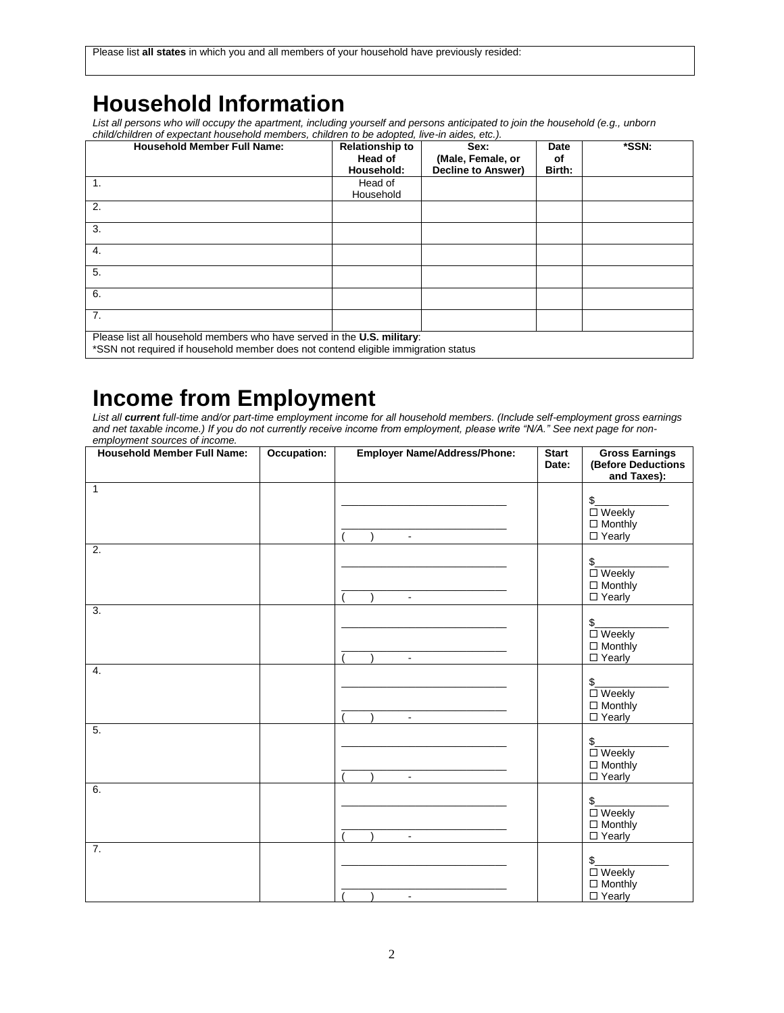## **Household Information**

*List all persons who will occupy the apartment, including yourself and persons anticipated to join the household (e.g., unborn child/children of expectant household members, children to be adopted, live-in aides, etc.).*

| <b>Household Member Full Name:</b>                                                 | <b>Relationship to</b><br>Head of | Sex:<br>(Male, Female, or | <b>Date</b><br>оf | *SSN: |
|------------------------------------------------------------------------------------|-----------------------------------|---------------------------|-------------------|-------|
|                                                                                    | Household:                        | <b>Decline to Answer)</b> | Birth:            |       |
| $\mathbf{1}$ .                                                                     | Head of<br>Household              |                           |                   |       |
| 2.                                                                                 |                                   |                           |                   |       |
| 3.                                                                                 |                                   |                           |                   |       |
| 4.                                                                                 |                                   |                           |                   |       |
| 5.                                                                                 |                                   |                           |                   |       |
| 6.                                                                                 |                                   |                           |                   |       |
| 7.                                                                                 |                                   |                           |                   |       |
| Please list all household members who have served in the U.S. military:            |                                   |                           |                   |       |
| *SSN not required if household member does not contend eligible immigration status |                                   |                           |                   |       |

## **Income from Employment**

*List all current full-time and/or part-time employment income for all household members. (Include self-employment gross earnings and net taxable income.) If you do not currently receive income from employment, please write "N/A." See next page for nonemployment sources of income.*

| <b>Household Member Full Name:</b> | Occupation: | <b>Employer Name/Address/Phone:</b> | <b>Start</b><br>Date: | <b>Gross Earnings</b><br>(Before Deductions<br>and Taxes):           |
|------------------------------------|-------------|-------------------------------------|-----------------------|----------------------------------------------------------------------|
| $\mathbf{1}$                       |             | $\sim$                              |                       | $\frac{1}{2}$<br>$\square$ Weekly<br>$\Box$ Monthly<br>$\Box$ Yearly |
| $\overline{2}$ .                   |             | $\mathbf{r}$                        |                       | $\frac{1}{2}$<br>$\square$ Weekly<br>$\Box$ Monthly<br>$\Box$ Yearly |
| $\overline{3}$ .                   |             | $\mathbb{Z}^{\mathbb{Z}}$           |                       | $\frac{1}{2}$<br>□ Weekly<br>$\Box$ Monthly<br>□ Yearly              |
| 4.                                 |             | $\sim$                              |                       | $\frac{1}{2}$<br>$\square$ Weekly<br>$\Box$ Monthly<br>$\Box$ Yearly |
| $\overline{5}$ .                   |             | $\blacksquare$                      |                       | $\frac{1}{2}$<br>$\square$ Weekly<br>$\Box$ Monthly<br>$\Box$ Yearly |
| 6.                                 |             | $\blacksquare$                      |                       | $\frac{1}{2}$<br>$\square$ Weekly<br>$\Box$ Monthly<br>$\Box$ Yearly |
| 7.                                 |             | $\blacksquare$                      |                       | $\frac{1}{2}$<br>$\square$ Weekly<br>$\Box$ Monthly<br>$\Box$ Yearly |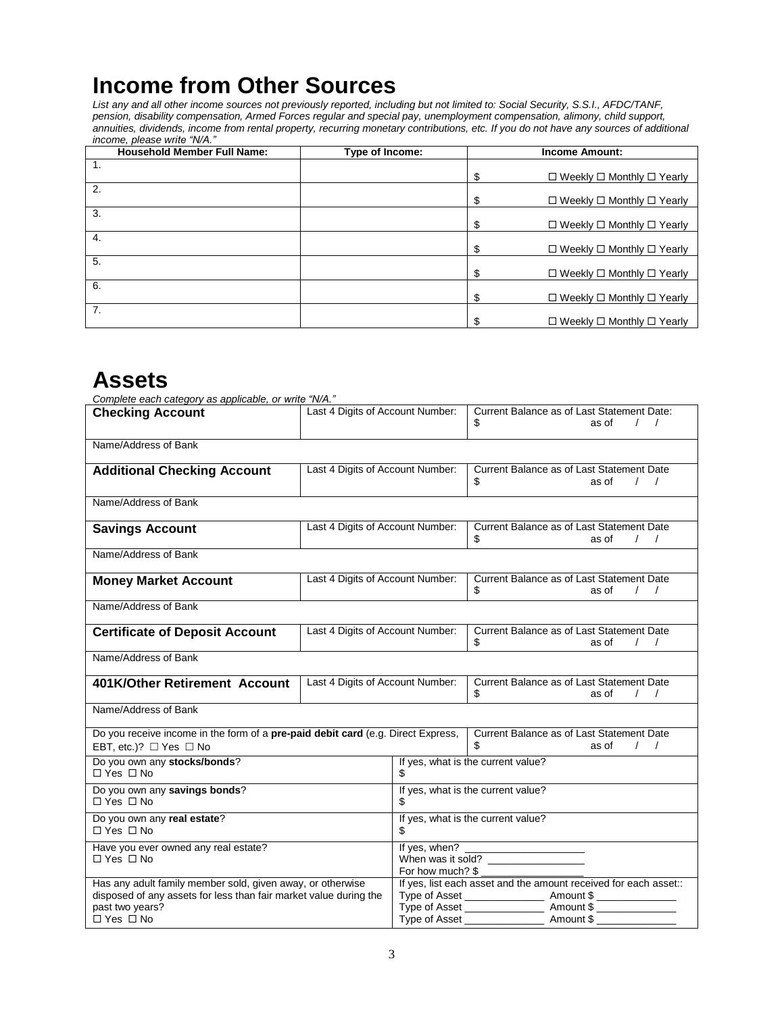## **Income from Other Sources**

*List any and all other income sources not previously reported, including but not limited to: Social Security, S.S.I., AFDC/TANF, pension, disability compensation, Armed Forces regular and special pay, unemployment compensation, alimony, child support, annuities, dividends, income from rental property, recurring monetary contributions, etc. If you do not have any sources of additional income, please write "N/A."*

| <b>Household Member Full Name:</b> | Type of Income: | <b>Income Amount:</b>                            |
|------------------------------------|-----------------|--------------------------------------------------|
| 1.                                 |                 |                                                  |
|                                    |                 | \$<br>$\Box$ Weekly $\Box$ Monthly $\Box$ Yearly |
| 2.                                 |                 | \$<br>$\Box$ Weekly $\Box$ Monthly $\Box$ Yearly |
|                                    |                 |                                                  |
| 3.                                 |                 | \$<br>$\Box$ Weekly $\Box$ Monthly $\Box$ Yearly |
| 4.                                 |                 |                                                  |
|                                    |                 | \$<br>$\Box$ Weekly $\Box$ Monthly $\Box$ Yearly |
| 5.                                 |                 |                                                  |
|                                    |                 | \$<br>$\Box$ Weekly $\Box$ Monthly $\Box$ Yearly |
| 6.                                 |                 |                                                  |
|                                    |                 | \$<br>$\Box$ Weekly $\Box$ Monthly $\Box$ Yearly |
| 7.                                 |                 |                                                  |
|                                    |                 | $\Box$ Weekly $\Box$ Monthly $\Box$ Yearly       |

## **Assets**

| Complete each category as applicable, or write "N/A."                            |                                  |                                                                                   |                                                                  |  |
|----------------------------------------------------------------------------------|----------------------------------|-----------------------------------------------------------------------------------|------------------------------------------------------------------|--|
| <b>Checking Account</b>                                                          | Last 4 Digits of Account Number: |                                                                                   | Current Balance as of Last Statement Date:                       |  |
|                                                                                  |                                  |                                                                                   | \$<br>as of<br>$\prime$<br>$\sqrt{ }$                            |  |
|                                                                                  |                                  |                                                                                   |                                                                  |  |
| Name/Address of Bank                                                             |                                  |                                                                                   |                                                                  |  |
|                                                                                  | Last 4 Digits of Account Number: |                                                                                   | Current Balance as of Last Statement Date                        |  |
| <b>Additional Checking Account</b>                                               |                                  |                                                                                   | \$<br>as of<br>$\prime$<br>$\sqrt{ }$                            |  |
|                                                                                  |                                  |                                                                                   |                                                                  |  |
| Name/Address of Bank                                                             |                                  |                                                                                   |                                                                  |  |
|                                                                                  |                                  |                                                                                   |                                                                  |  |
| <b>Savings Account</b>                                                           | Last 4 Digits of Account Number: |                                                                                   | Current Balance as of Last Statement Date                        |  |
|                                                                                  |                                  |                                                                                   | \$<br>$\left  \right $<br>as of                                  |  |
| Name/Address of Bank                                                             |                                  |                                                                                   |                                                                  |  |
|                                                                                  |                                  |                                                                                   |                                                                  |  |
| <b>Money Market Account</b>                                                      | Last 4 Digits of Account Number: |                                                                                   | Current Balance as of Last Statement Date                        |  |
|                                                                                  |                                  |                                                                                   | \$<br>$\prime$<br>as of<br>$\sqrt{ }$                            |  |
| Name/Address of Bank                                                             |                                  |                                                                                   |                                                                  |  |
|                                                                                  |                                  |                                                                                   |                                                                  |  |
|                                                                                  |                                  |                                                                                   | Current Balance as of Last Statement Date                        |  |
| <b>Certificate of Deposit Account</b>                                            | Last 4 Digits of Account Number: |                                                                                   | $\left  \begin{array}{cc} \end{array} \right $                   |  |
|                                                                                  |                                  |                                                                                   | \$<br>as of                                                      |  |
| Name/Address of Bank                                                             |                                  |                                                                                   |                                                                  |  |
|                                                                                  |                                  |                                                                                   |                                                                  |  |
| 401K/Other Retirement Account                                                    | Last 4 Digits of Account Number: |                                                                                   | Current Balance as of Last Statement Date                        |  |
|                                                                                  |                                  |                                                                                   | \$<br>as of<br>$\prime$<br>$\sqrt{ }$                            |  |
| Name/Address of Bank                                                             |                                  |                                                                                   |                                                                  |  |
|                                                                                  |                                  |                                                                                   |                                                                  |  |
| Do you receive income in the form of a pre-paid debit card (e.g. Direct Express, |                                  |                                                                                   | Current Balance as of Last Statement Date                        |  |
| EBT, etc.)? $\Box$ Yes $\Box$ No                                                 |                                  |                                                                                   | $\left  \right $<br>as of                                        |  |
| Do you own any stocks/bonds?                                                     |                                  |                                                                                   | If yes, what is the current value?                               |  |
| $\Box$ Yes $\Box$ No                                                             |                                  |                                                                                   |                                                                  |  |
| Do you own any savings bonds?                                                    |                                  |                                                                                   | If yes, what is the current value?                               |  |
| $\Box$ Yes $\Box$ No                                                             |                                  |                                                                                   |                                                                  |  |
|                                                                                  |                                  |                                                                                   |                                                                  |  |
| Do you own any real estate?                                                      |                                  | If yes, what is the current value?                                                |                                                                  |  |
| $\Box$ Yes $\Box$ No                                                             |                                  |                                                                                   |                                                                  |  |
| Have you ever owned any real estate?                                             |                                  | If yes, when?<br>the control of the control of the control of                     |                                                                  |  |
| $\Box$ Yes $\Box$ No                                                             |                                  | When was it sold?                                                                 |                                                                  |  |
|                                                                                  |                                  | For how much? \$                                                                  |                                                                  |  |
| Has any adult family member sold, given away, or otherwise                       |                                  |                                                                                   | If yes, list each asset and the amount received for each asset:: |  |
| disposed of any assets for less than fair market value during the                |                                  | Type of Asset _________________________ Amount \$ _______________________________ |                                                                  |  |
| past two years?                                                                  |                                  |                                                                                   |                                                                  |  |
| $\Box$ Yes $\Box$ No                                                             |                                  | Type of Asset                                                                     | Amount \$                                                        |  |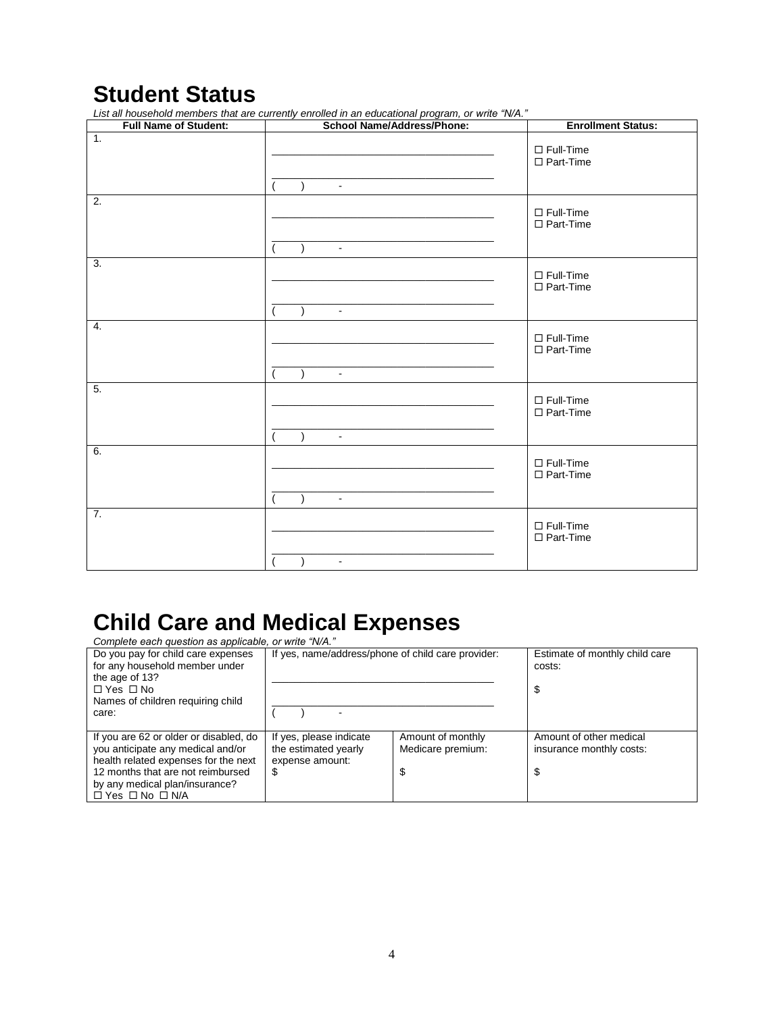## **Student Status**

| <b>Full Name of Student:</b> | Eist all household members that are carrently emolied in an educational program, or which while<br><b>School Name/Address/Phone:</b> | <b>Enrollment Status:</b>            |
|------------------------------|--------------------------------------------------------------------------------------------------------------------------------------|--------------------------------------|
| 1.                           | $\omega$                                                                                                                             | $\Box$ Full-Time<br>□ Part-Time      |
| 2.                           | $\blacksquare$                                                                                                                       | $\Box$ Full-Time<br>$\Box$ Part-Time |
| 3.                           | $\lambda$<br>$\blacksquare$                                                                                                          | $\Box$ Full-Time<br>$\Box$ Part-Time |
| 4.                           | $\lambda$<br>$\blacksquare$                                                                                                          | $\Box$ Full-Time<br>□ Part-Time      |
| 5.                           | $\lambda$<br>$\omega$                                                                                                                | $\Box$ Full-Time<br>$\Box$ Part-Time |
| 6.                           | $\mathbf{r}$                                                                                                                         | $\Box$ Full-Time<br>□ Part-Time      |
| 7.                           | $\blacksquare$                                                                                                                       | $\Box$ Full-Time<br>$\Box$ Part-Time |

*List all household members that are currently enrolled in an educational program, or write "N/A."*

## **Child Care and Medical Expenses**

| Complete each question as applicable, or write "N/A." |                                                    |                                |                          |  |
|-------------------------------------------------------|----------------------------------------------------|--------------------------------|--------------------------|--|
| Do you pay for child care expenses                    | If yes, name/address/phone of child care provider: | Estimate of monthly child care |                          |  |
| for any household member under                        |                                                    | costs:                         |                          |  |
| the age of 13?                                        |                                                    |                                |                          |  |
| $\Box$ Yes $\Box$ No                                  |                                                    |                                | S                        |  |
| Names of children requiring child                     |                                                    |                                |                          |  |
| care:                                                 |                                                    |                                |                          |  |
|                                                       |                                                    |                                |                          |  |
| If you are 62 or older or disabled, do                | If yes, please indicate                            | Amount of monthly              | Amount of other medical  |  |
| you anticipate any medical and/or                     | the estimated yearly                               | Medicare premium:              | insurance monthly costs: |  |
| health related expenses for the next                  | expense amount:                                    |                                |                          |  |
| 12 months that are not reimbursed                     | S                                                  | \$                             | J                        |  |
| by any medical plan/insurance?                        |                                                    |                                |                          |  |
| $\Box$ Yes $\Box$ No $\Box$ N/A                       |                                                    |                                |                          |  |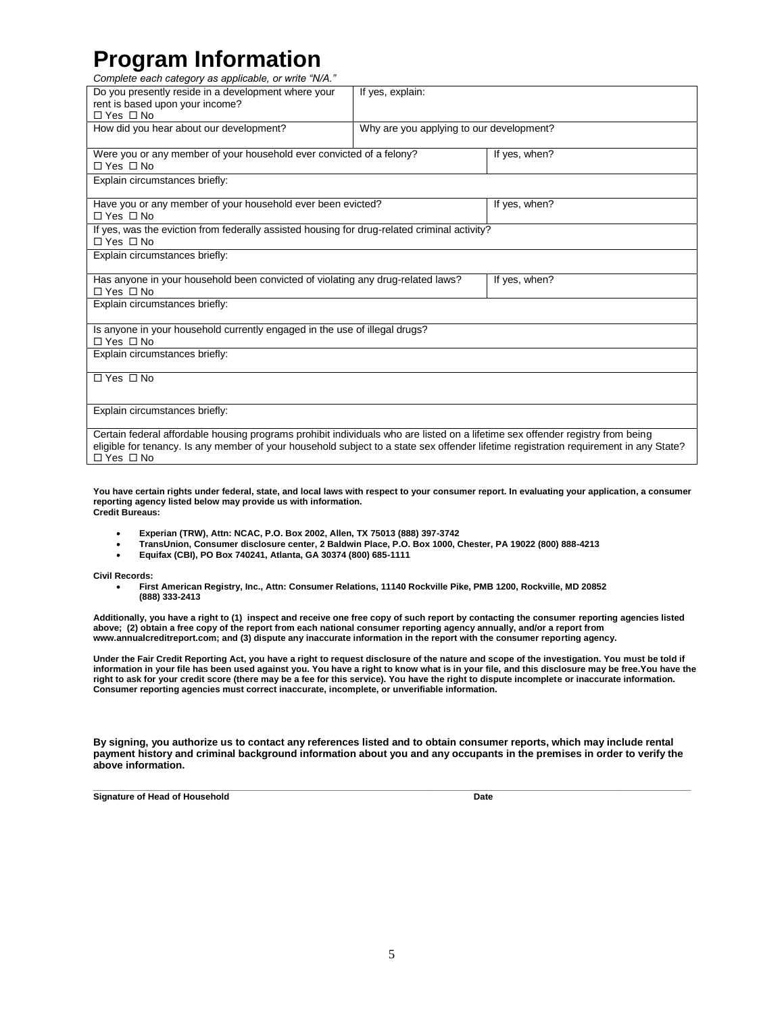## **Program Information**

*Complete each category as applicable, or write "N/A."*

| Do you presently reside in a development where your<br>rent is based upon your income?<br>$\Box$ Yes $\Box$ No                                                                                                                                                                                  | If yes, explain:                         |               |
|-------------------------------------------------------------------------------------------------------------------------------------------------------------------------------------------------------------------------------------------------------------------------------------------------|------------------------------------------|---------------|
| How did you hear about our development?                                                                                                                                                                                                                                                         | Why are you applying to our development? |               |
| Were you or any member of your household ever convicted of a felony?<br>$\Box$ Yes $\Box$ No                                                                                                                                                                                                    |                                          | If yes, when? |
| Explain circumstances briefly:                                                                                                                                                                                                                                                                  |                                          |               |
| Have you or any member of your household ever been evicted?<br>$\Box$ Yes $\Box$ No                                                                                                                                                                                                             |                                          | If yes, when? |
| If yes, was the eviction from federally assisted housing for drug-related criminal activity?<br>$\Box$ Yes $\Box$ No                                                                                                                                                                            |                                          |               |
| Explain circumstances briefly:                                                                                                                                                                                                                                                                  |                                          |               |
| Has anyone in your household been convicted of violating any drug-related laws?<br>$\Box$ Yes $\Box$ No                                                                                                                                                                                         |                                          | If yes, when? |
| Explain circumstances briefly:                                                                                                                                                                                                                                                                  |                                          |               |
| Is anyone in your household currently engaged in the use of illegal drugs?<br>$\Box$ Yes $\Box$ No                                                                                                                                                                                              |                                          |               |
| Explain circumstances briefly:                                                                                                                                                                                                                                                                  |                                          |               |
| $\Box$ Yes $\Box$ No                                                                                                                                                                                                                                                                            |                                          |               |
| Explain circumstances briefly:                                                                                                                                                                                                                                                                  |                                          |               |
| Certain federal affordable housing programs prohibit individuals who are listed on a lifetime sex offender registry from being<br>eligible for tenancy. Is any member of your household subject to a state sex offender lifetime registration requirement in any State?<br>$\Box$ Yes $\Box$ No |                                          |               |

**You have certain rights under federal, state, and local laws with respect to your consumer report. In evaluating your application, a consumer reporting agency listed below may provide us with information. Credit Bureaus:**

- **Experian (TRW), Attn: NCAC, P.O. Box 2002, Allen, TX 75013 (888) 397-3742**
- **TransUnion, Consumer disclosure center, 2 Baldwin Place, P.O. Box 1000, Chester, PA 19022 (800) 888-4213**
- **Equifax (CBI), PO Box 740241, Atlanta, GA 30374 (800) 685-1111**

**Civil Records:**

 **First American Registry, Inc., Attn: Consumer Relations, 11140 Rockville Pike, PMB 1200, Rockville, MD 20852 (888) 333-2413**

**Additionally, you have a right to (1) inspect and receive one free copy of such report by contacting the consumer reporting agencies listed above; (2) obtain a free copy of the report from each national consumer reporting agency annually, and/or a report from www.annualcreditreport.com; and (3) dispute any inaccurate information in the report with the consumer reporting agency.**

**Under the Fair Credit Reporting Act, you have a right to request disclosure of the nature and scope of the investigation. You must be told if**  information in your file has been used against you. You have a right to know what is in your file, and this disclosure may be free. You have the **right to ask for your credit score (there may be a fee for this service). You have the right to dispute incomplete or inaccurate information. Consumer reporting agencies must correct inaccurate, incomplete, or unverifiable information.**

**By signing, you authorize us to contact any references listed and to obtain consumer reports, which may include rental payment history and criminal background information about you and any occupants in the premises in order to verify the above information.** 

**\_\_\_\_\_\_\_\_\_\_\_\_\_\_\_\_\_\_\_\_\_\_\_\_\_\_\_\_\_\_\_\_\_\_\_\_\_\_\_\_\_\_\_\_\_\_\_\_\_\_\_\_\_\_\_\_\_\_\_\_\_\_\_\_\_\_\_\_\_\_\_\_\_\_\_\_\_\_\_\_\_\_\_\_\_\_\_\_\_\_\_\_\_\_\_\_\_\_\_\_\_\_\_\_\_\_\_\_\_\_\_\_\_\_\_\_\_\_\_\_ Signature of Head of Household Date**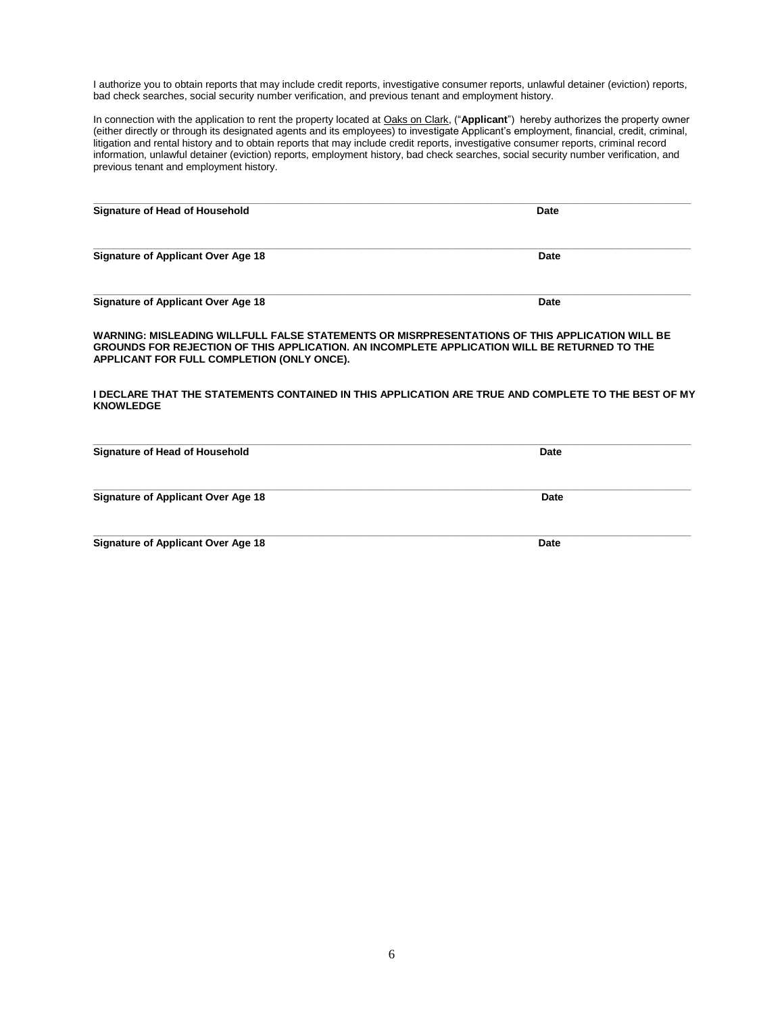I authorize you to obtain reports that may include credit reports, investigative consumer reports, unlawful detainer (eviction) reports, bad check searches, social security number verification, and previous tenant and employment history.

In connection with the application to rent the property located at Oaks on Clark, ("**Applicant**") hereby authorizes the property owner (either directly or through its designated agents and its employees) to investigate Applicant's employment, financial, credit, criminal, litigation and rental history and to obtain reports that may include credit reports, investigative consumer reports, criminal record information, unlawful detainer (eviction) reports, employment history, bad check searches, social security number verification, and previous tenant and employment history.

| <b>Signature of Head of Household</b>     | <b>Date</b> |
|-------------------------------------------|-------------|
| Signature of Applicant Over Age 18        | Date        |
| <b>Signature of Applicant Over Age 18</b> | Date        |

**WARNING: MISLEADING WILLFULL FALSE STATEMENTS OR MISRPRESENTATIONS OF THIS APPLICATION WILL BE GROUNDS FOR REJECTION OF THIS APPLICATION. AN INCOMPLETE APPLICATION WILL BE RETURNED TO THE APPLICANT FOR FULL COMPLETION (ONLY ONCE).**

#### **I DECLARE THAT THE STATEMENTS CONTAINED IN THIS APPLICATION ARE TRUE AND COMPLETE TO THE BEST OF MY KNOWLEDGE**

| <b>Signature of Head of Household</b>     | Date |
|-------------------------------------------|------|
| <b>Signature of Applicant Over Age 18</b> | Date |
| <b>Signature of Applicant Over Age 18</b> | Date |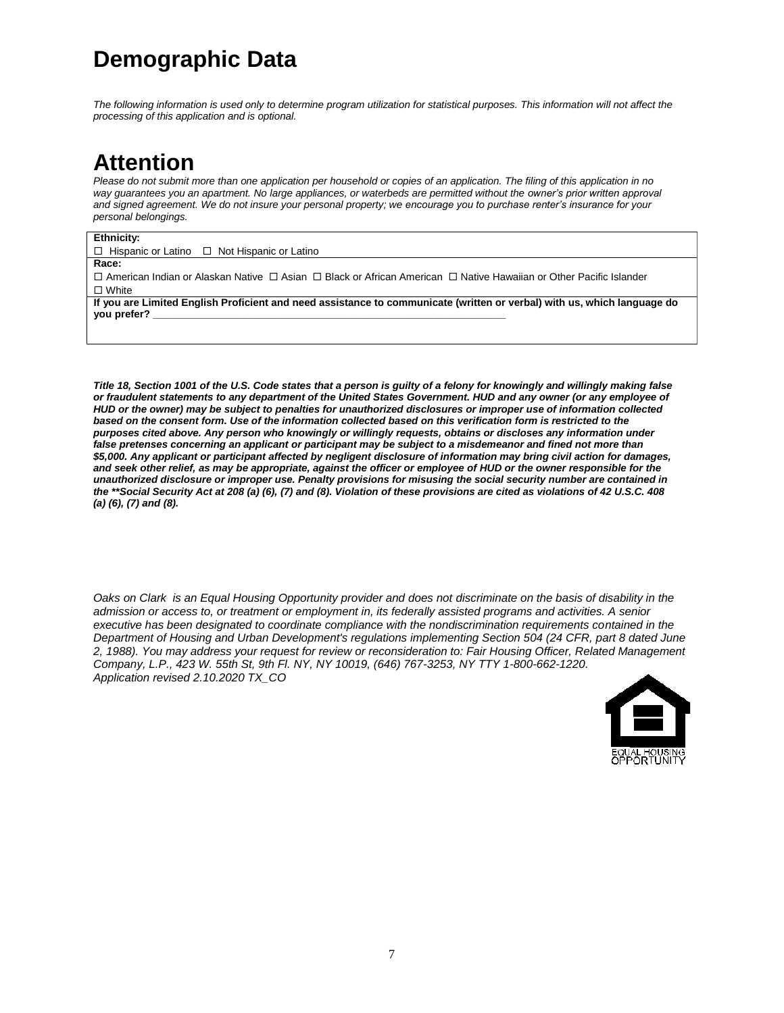## **Demographic Data**

*The following information is used only to determine program utilization for statistical purposes. This information will not affect the processing of this application and is optional.*

## **Attention**

*Please do not submit more than one application per household or copies of an application. The filing of this application in no*  way quarantees you an apartment. No large appliances, or waterbeds are permitted without the owner's prior written approval *and signed agreement. We do not insure your personal property; we encourage you to purchase renter's insurance for your personal belongings.*

#### **Ethnicity:**

 $\Box$  Hispanic or Latino  $\Box$  Not Hispanic or Latino

#### **Race:**

 $\Box$  American Indian or Alaskan Native  $\Box$  Asian  $\Box$  Black or African American  $\Box$  Native Hawaiian or Other Pacific Islander □ White

**If you are Limited English Proficient and need assistance to communicate (written or verbal) with us, which language do you prefer? \_\_\_\_\_\_\_\_\_\_\_\_\_\_\_\_\_\_\_\_\_\_\_\_\_\_\_\_\_\_\_\_\_\_\_\_\_\_\_\_\_\_\_\_\_\_\_\_\_\_\_\_\_\_\_\_\_\_\_\_\_\_**

*Title 18, Section 1001 of the U.S. Code states that a person is guilty of a felony for knowingly and willingly making false or fraudulent statements to any department of the United States Government. HUD and any owner (or any employee of HUD or the owner) may be subject to penalties for unauthorized disclosures or improper use of information collected based on the consent form. Use of the information collected based on this verification form is restricted to the purposes cited above. Any person who knowingly or willingly requests, obtains or discloses any information under false pretenses concerning an applicant or participant may be subject to a misdemeanor and fined not more than \$5,000. Any applicant or participant affected by negligent disclosure of information may bring civil action for damages, and seek other relief, as may be appropriate, against the officer or employee of HUD or the owner responsible for the unauthorized disclosure or improper use. Penalty provisions for misusing the social security number are contained in the \*\*Social Security Act at 208 (a) (6), (7) and (8). Violation of these provisions are cited as violations of 42 U.S.C. 408 (a) (6), (7) and (8).*

*Oaks on Clark is an Equal Housing Opportunity provider and does not discriminate on the basis of disability in the*  admission or access to, or treatment or employment in, its federally assisted programs and activities. A senior *executive has been designated to coordinate compliance with the nondiscrimination requirements contained in the Department of Housing and Urban Development's regulations implementing Section 504 (24 CFR, part 8 dated June 2, 1988). You may address your request for review or reconsideration to: Fair Housing Officer, Related Management Company, L.P., 423 W. 55th St, 9th Fl. NY, NY 10019, (646) 767-3253, NY TTY 1-800-662-1220. Application revised 2.10.2020 TX\_CO*

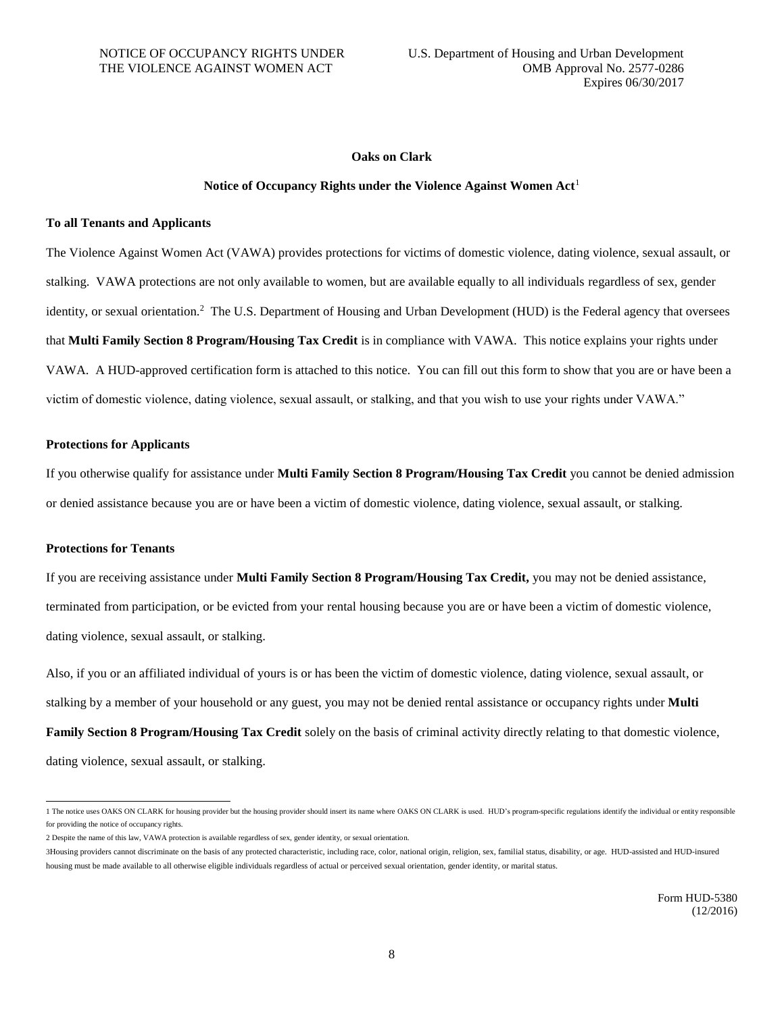#### **Oaks on Clark**

#### **Notice of Occupancy Rights under the Violence Against Women Act**<sup>1</sup>

#### **To all Tenants and Applicants**

The Violence Against Women Act (VAWA) provides protections for victims of domestic violence, dating violence, sexual assault, or stalking. VAWA protections are not only available to women, but are available equally to all individuals regardless of sex, gender identity, or sexual orientation.<sup>2</sup> The U.S. Department of Housing and Urban Development (HUD) is the Federal agency that oversees that **Multi Family Section 8 Program/Housing Tax Credit** is in compliance with VAWA. This notice explains your rights under VAWA. A HUD-approved certification form is attached to this notice. You can fill out this form to show that you are or have been a victim of domestic violence, dating violence, sexual assault, or stalking, and that you wish to use your rights under VAWA."

#### **Protections for Applicants**

If you otherwise qualify for assistance under **Multi Family Section 8 Program/Housing Tax Credit** you cannot be denied admission or denied assistance because you are or have been a victim of domestic violence, dating violence, sexual assault, or stalking.

#### **Protections for Tenants**

 $\overline{\phantom{a}}$ 

If you are receiving assistance under **Multi Family Section 8 Program/Housing Tax Credit,** you may not be denied assistance, terminated from participation, or be evicted from your rental housing because you are or have been a victim of domestic violence, dating violence, sexual assault, or stalking.

Also, if you or an affiliated individual of yours is or has been the victim of domestic violence, dating violence, sexual assault, or stalking by a member of your household or any guest, you may not be denied rental assistance or occupancy rights under **Multi Family Section 8 Program/Housing Tax Credit** solely on the basis of criminal activity directly relating to that domestic violence, dating violence, sexual assault, or stalking.

<sup>1</sup> The notice uses OAKS ON CLARK for housing provider but the housing provider should insert its name where OAKS ON CLARK is used. HUD's program-specific regulations identify the individual or entity responsible for providing the notice of occupancy rights.

<sup>2</sup> Despite the name of this law, VAWA protection is available regardless of sex, gender identity, or sexual orientation.

<sup>3</sup>Housing providers cannot discriminate on the basis of any protected characteristic, including race, color, national origin, religion, sex, familial status, disability, or age. HUD-assisted and HUD-insured housing must be made available to all otherwise eligible individuals regardless of actual or perceived sexual orientation, gender identity, or marital status.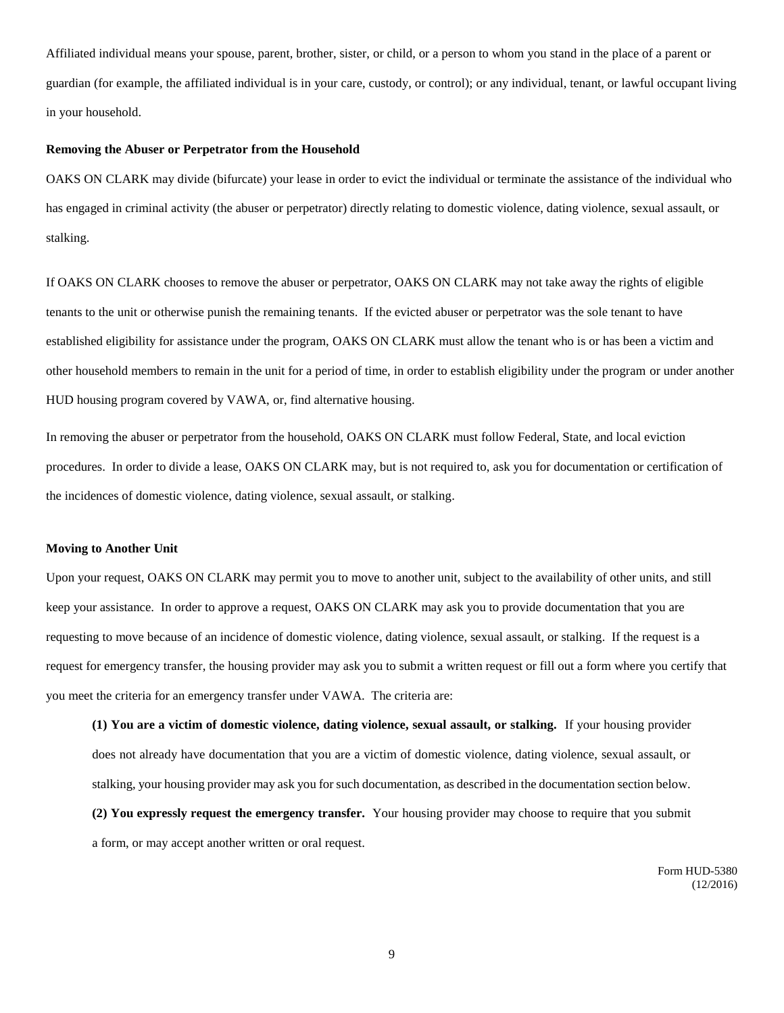Affiliated individual means your spouse, parent, brother, sister, or child, or a person to whom you stand in the place of a parent or guardian (for example, the affiliated individual is in your care, custody, or control); or any individual, tenant, or lawful occupant living in your household.

#### **Removing the Abuser or Perpetrator from the Household**

OAKS ON CLARK may divide (bifurcate) your lease in order to evict the individual or terminate the assistance of the individual who has engaged in criminal activity (the abuser or perpetrator) directly relating to domestic violence, dating violence, sexual assault, or stalking.

If OAKS ON CLARK chooses to remove the abuser or perpetrator, OAKS ON CLARK may not take away the rights of eligible tenants to the unit or otherwise punish the remaining tenants. If the evicted abuser or perpetrator was the sole tenant to have established eligibility for assistance under the program, OAKS ON CLARK must allow the tenant who is or has been a victim and other household members to remain in the unit for a period of time, in order to establish eligibility under the program or under another HUD housing program covered by VAWA, or, find alternative housing.

In removing the abuser or perpetrator from the household, OAKS ON CLARK must follow Federal, State, and local eviction procedures. In order to divide a lease, OAKS ON CLARK may, but is not required to, ask you for documentation or certification of the incidences of domestic violence, dating violence, sexual assault, or stalking.

#### **Moving to Another Unit**

Upon your request, OAKS ON CLARK may permit you to move to another unit, subject to the availability of other units, and still keep your assistance. In order to approve a request, OAKS ON CLARK may ask you to provide documentation that you are requesting to move because of an incidence of domestic violence, dating violence, sexual assault, or stalking. If the request is a request for emergency transfer, the housing provider may ask you to submit a written request or fill out a form where you certify that you meet the criteria for an emergency transfer under VAWA. The criteria are:

**(1) You are a victim of domestic violence, dating violence, sexual assault, or stalking.** If your housing provider does not already have documentation that you are a victim of domestic violence, dating violence, sexual assault, or stalking, your housing provider may ask you for such documentation, as described in the documentation section below.

**(2) You expressly request the emergency transfer.** Your housing provider may choose to require that you submit a form, or may accept another written or oral request.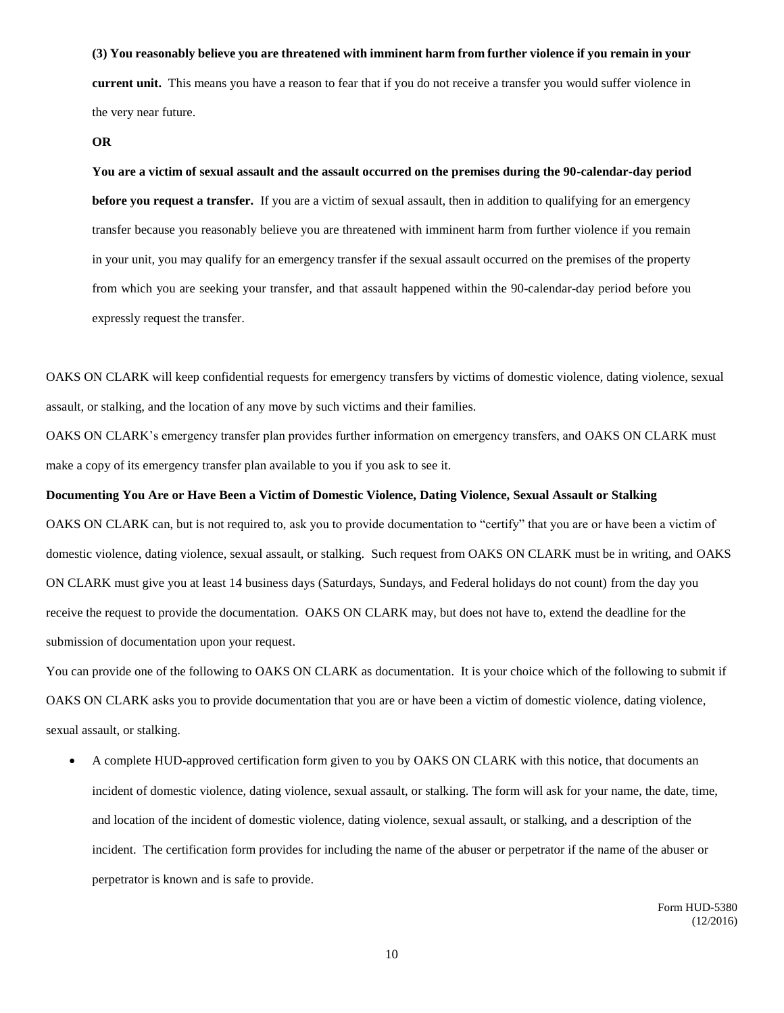#### **(3) You reasonably believe you are threatened with imminent harm from further violence if you remain in your**

**current unit.** This means you have a reason to fear that if you do not receive a transfer you would suffer violence in the very near future.

#### **OR**

**You are a victim of sexual assault and the assault occurred on the premises during the 90-calendar-day period before you request a transfer.** If you are a victim of sexual assault, then in addition to qualifying for an emergency transfer because you reasonably believe you are threatened with imminent harm from further violence if you remain in your unit, you may qualify for an emergency transfer if the sexual assault occurred on the premises of the property from which you are seeking your transfer, and that assault happened within the 90-calendar-day period before you expressly request the transfer.

OAKS ON CLARK will keep confidential requests for emergency transfers by victims of domestic violence, dating violence, sexual assault, or stalking, and the location of any move by such victims and their families.

OAKS ON CLARK's emergency transfer plan provides further information on emergency transfers, and OAKS ON CLARK must make a copy of its emergency transfer plan available to you if you ask to see it.

#### **Documenting You Are or Have Been a Victim of Domestic Violence, Dating Violence, Sexual Assault or Stalking**

OAKS ON CLARK can, but is not required to, ask you to provide documentation to "certify" that you are or have been a victim of domestic violence, dating violence, sexual assault, or stalking. Such request from OAKS ON CLARK must be in writing, and OAKS ON CLARK must give you at least 14 business days (Saturdays, Sundays, and Federal holidays do not count) from the day you receive the request to provide the documentation. OAKS ON CLARK may, but does not have to, extend the deadline for the submission of documentation upon your request.

You can provide one of the following to OAKS ON CLARK as documentation. It is your choice which of the following to submit if OAKS ON CLARK asks you to provide documentation that you are or have been a victim of domestic violence, dating violence, sexual assault, or stalking.

 A complete HUD-approved certification form given to you by OAKS ON CLARK with this notice, that documents an incident of domestic violence, dating violence, sexual assault, or stalking. The form will ask for your name, the date, time, and location of the incident of domestic violence, dating violence, sexual assault, or stalking, and a description of the incident. The certification form provides for including the name of the abuser or perpetrator if the name of the abuser or perpetrator is known and is safe to provide.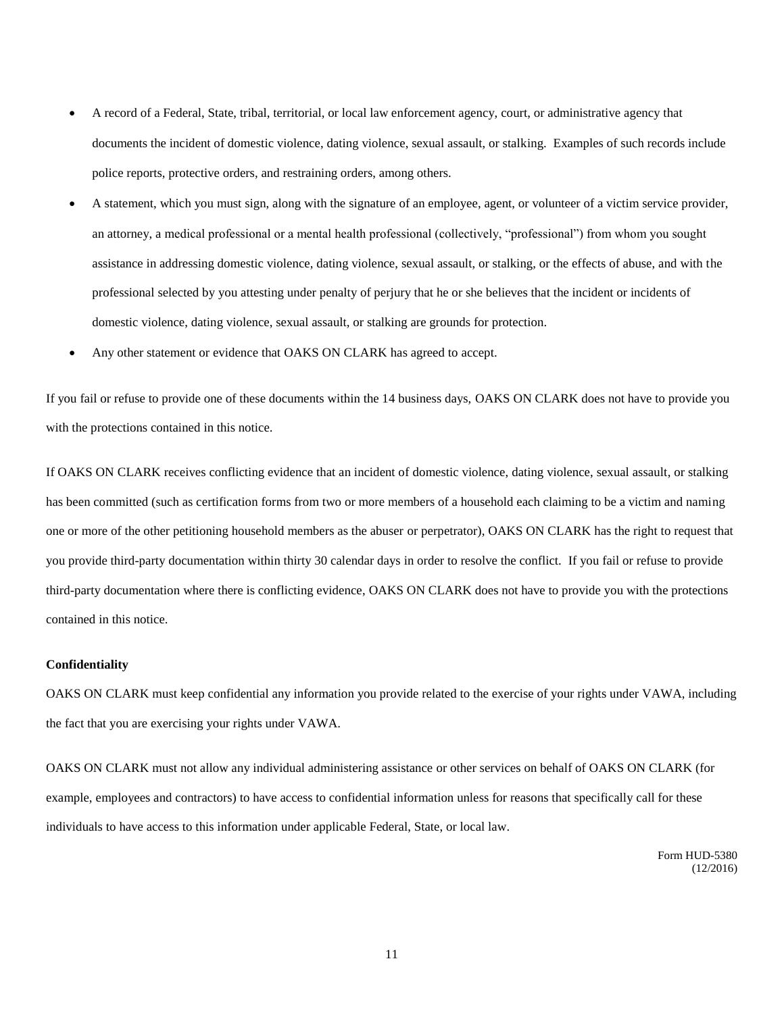- A record of a Federal, State, tribal, territorial, or local law enforcement agency, court, or administrative agency that documents the incident of domestic violence, dating violence, sexual assault, or stalking. Examples of such records include police reports, protective orders, and restraining orders, among others.
- A statement, which you must sign, along with the signature of an employee, agent, or volunteer of a victim service provider, an attorney, a medical professional or a mental health professional (collectively, "professional") from whom you sought assistance in addressing domestic violence, dating violence, sexual assault, or stalking, or the effects of abuse, and with the professional selected by you attesting under penalty of perjury that he or she believes that the incident or incidents of domestic violence, dating violence, sexual assault, or stalking are grounds for protection.
- Any other statement or evidence that OAKS ON CLARK has agreed to accept.

If you fail or refuse to provide one of these documents within the 14 business days, OAKS ON CLARK does not have to provide you with the protections contained in this notice.

If OAKS ON CLARK receives conflicting evidence that an incident of domestic violence, dating violence, sexual assault, or stalking has been committed (such as certification forms from two or more members of a household each claiming to be a victim and naming one or more of the other petitioning household members as the abuser or perpetrator), OAKS ON CLARK has the right to request that you provide third-party documentation within thirty 30 calendar days in order to resolve the conflict. If you fail or refuse to provide third-party documentation where there is conflicting evidence, OAKS ON CLARK does not have to provide you with the protections contained in this notice.

#### **Confidentiality**

OAKS ON CLARK must keep confidential any information you provide related to the exercise of your rights under VAWA, including the fact that you are exercising your rights under VAWA.

OAKS ON CLARK must not allow any individual administering assistance or other services on behalf of OAKS ON CLARK (for example, employees and contractors) to have access to confidential information unless for reasons that specifically call for these individuals to have access to this information under applicable Federal, State, or local law.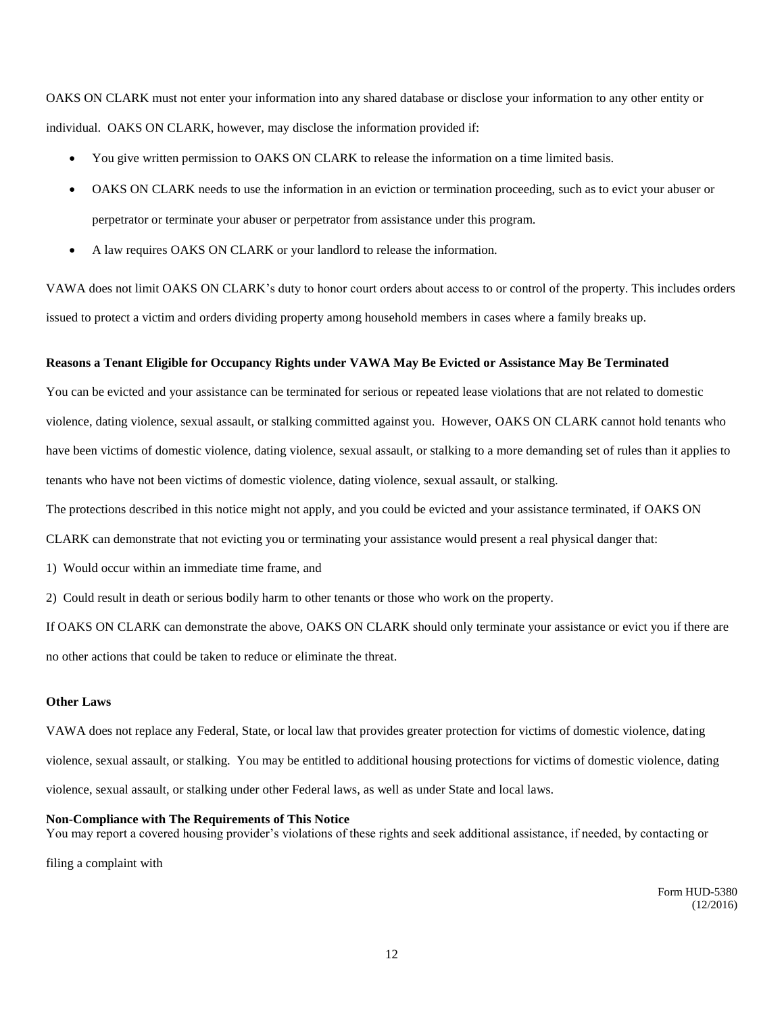OAKS ON CLARK must not enter your information into any shared database or disclose your information to any other entity or individual. OAKS ON CLARK, however, may disclose the information provided if:

- You give written permission to OAKS ON CLARK to release the information on a time limited basis.
- OAKS ON CLARK needs to use the information in an eviction or termination proceeding, such as to evict your abuser or perpetrator or terminate your abuser or perpetrator from assistance under this program.
- A law requires OAKS ON CLARK or your landlord to release the information.

VAWA does not limit OAKS ON CLARK's duty to honor court orders about access to or control of the property. This includes orders issued to protect a victim and orders dividing property among household members in cases where a family breaks up.

#### **Reasons a Tenant Eligible for Occupancy Rights under VAWA May Be Evicted or Assistance May Be Terminated**

You can be evicted and your assistance can be terminated for serious or repeated lease violations that are not related to domestic violence, dating violence, sexual assault, or stalking committed against you. However, OAKS ON CLARK cannot hold tenants who have been victims of domestic violence, dating violence, sexual assault, or stalking to a more demanding set of rules than it applies to tenants who have not been victims of domestic violence, dating violence, sexual assault, or stalking.

The protections described in this notice might not apply, and you could be evicted and your assistance terminated, if OAKS ON

- CLARK can demonstrate that not evicting you or terminating your assistance would present a real physical danger that:
- 1) Would occur within an immediate time frame, and
- 2) Could result in death or serious bodily harm to other tenants or those who work on the property.

If OAKS ON CLARK can demonstrate the above, OAKS ON CLARK should only terminate your assistance or evict you if there are no other actions that could be taken to reduce or eliminate the threat.

#### **Other Laws**

VAWA does not replace any Federal, State, or local law that provides greater protection for victims of domestic violence, dating violence, sexual assault, or stalking. You may be entitled to additional housing protections for victims of domestic violence, dating violence, sexual assault, or stalking under other Federal laws, as well as under State and local laws.

#### **Non-Compliance with The Requirements of This Notice**

You may report a covered housing provider's violations of these rights and seek additional assistance, if needed, by contacting or

filing a complaint with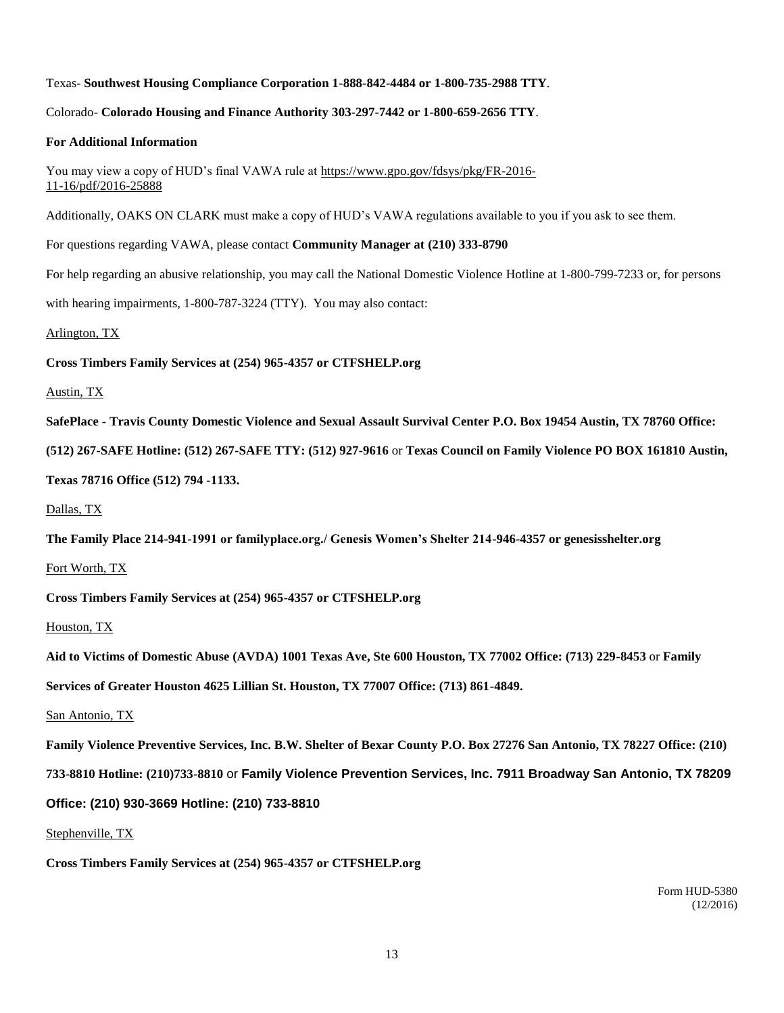#### Texas- **Southwest Housing Compliance Corporation 1-888-842-4484 or 1-800-735-2988 TTY**.

#### Colorado- **Colorado Housing and Finance Authority 303-297-7442 or 1-800-659-2656 TTY**.

#### **For Additional Information**

You may view a copy of HUD's final VAWA rule at https://www.gpo.gov/fdsys/pkg/FR-2016- 11-16/pdf/2016-25888

Additionally, OAKS ON CLARK must make a copy of HUD's VAWA regulations available to you if you ask to see them.

For questions regarding VAWA, please contact **Community Manager at (210) 333-8790**

For help regarding an abusive relationship, you may call the National Domestic Violence Hotline at 1-800-799-7233 or, for persons

with hearing impairments, 1-800-787-3224 (TTY). You may also contact:

Arlington, TX

**Cross Timbers Family Services at (254) 965-4357 or CTFSHELP.org**

#### Austin, TX

**SafePlace - Travis County Domestic Violence and Sexual Assault Survival Center P.O. Box 19454 Austin, TX 78760 Office:** 

**(512) 267-SAFE Hotline: (512) 267-SAFE TTY: (512) 927-9616** or **Texas Council on Family Violence PO BOX 161810 Austin,** 

**Texas 78716 Office (512) 794 -1133.**

Dallas, TX

**The Family Place 214-941-1991 or familyplace.org./ Genesis Women's Shelter 214-946-4357 or genesisshelter.org**

Fort Worth, TX

**Cross Timbers Family Services at (254) 965-4357 or CTFSHELP.org**

Houston, TX

**Aid to Victims of Domestic Abuse (AVDA) 1001 Texas Ave, Ste 600 Houston, TX 77002 Office: (713) 229-8453** or **Family** 

**Services of Greater Houston 4625 Lillian St. Houston, TX 77007 Office: (713) 861-4849.**

San Antonio, TX

**Family Violence Preventive Services, Inc. B.W. Shelter of Bexar County P.O. Box 27276 San Antonio, TX 78227 Office: (210)** 

**733-8810 Hotline: (210)733-8810** or **Family Violence Prevention Services, Inc. 7911 Broadway San Antonio, TX 78209** 

#### **Office: (210) 930-3669 Hotline: (210) 733-8810**

Stephenville, TX

**Cross Timbers Family Services at (254) 965-4357 or CTFSHELP.org**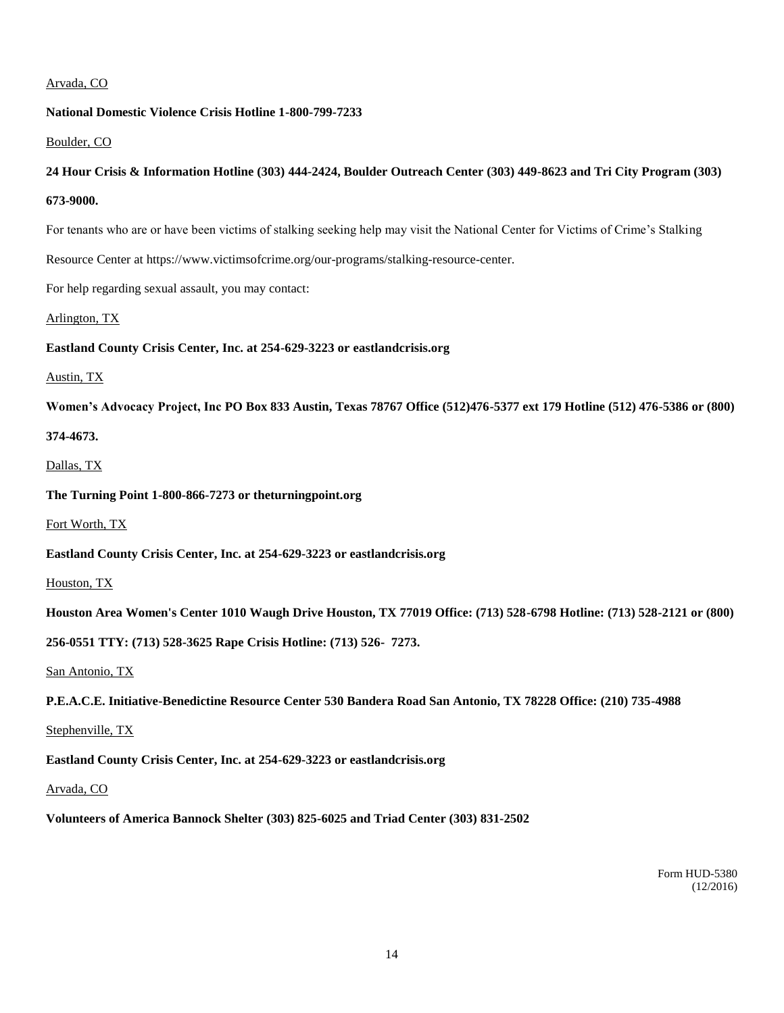#### Arvada, CO

#### **National Domestic Violence Crisis Hotline 1-800-799-7233**

#### Boulder, CO

#### **24 Hour Crisis & Information Hotline (303) 444-2424, Boulder Outreach Center (303) 449-8623 and Tri City Program (303)**

**673-9000.**

For tenants who are or have been victims of stalking seeking help may visit the National Center for Victims of Crime's Stalking

Resource Center at https://www.victimsofcrime.org/our-programs/stalking-resource-center.

For help regarding sexual assault, you may contact:

Arlington, TX

**Eastland County Crisis Center, Inc. at 254-629-3223 or eastlandcrisis.org**

#### Austin, TX

**Women's Advocacy Project, Inc PO Box 833 Austin, Texas 78767 Office (512)476-5377 ext 179 Hotline (512) 476-5386 or (800)** 

**374-4673.**

#### Dallas, TX

**The Turning Point 1-800-866-7273 or theturningpoint.org**

Fort Worth, TX

**Eastland County Crisis Center, Inc. at 254-629-3223 or eastlandcrisis.org**

Houston, TX

**Houston Area Women's Center 1010 Waugh Drive Houston, TX 77019 Office: (713) 528-6798 Hotline: (713) 528-2121 or (800)** 

**256-0551 TTY: (713) 528-3625 Rape Crisis Hotline: (713) 526- 7273.**

San Antonio, TX

**P.E.A.C.E. Initiative-Benedictine Resource Center 530 Bandera Road San Antonio, TX 78228 Office: (210) 735-4988**

Stephenville, TX

**Eastland County Crisis Center, Inc. at 254-629-3223 or eastlandcrisis.org**

#### Arvada, CO

**Volunteers of America Bannock Shelter (303) 825-6025 and Triad Center (303) 831-2502**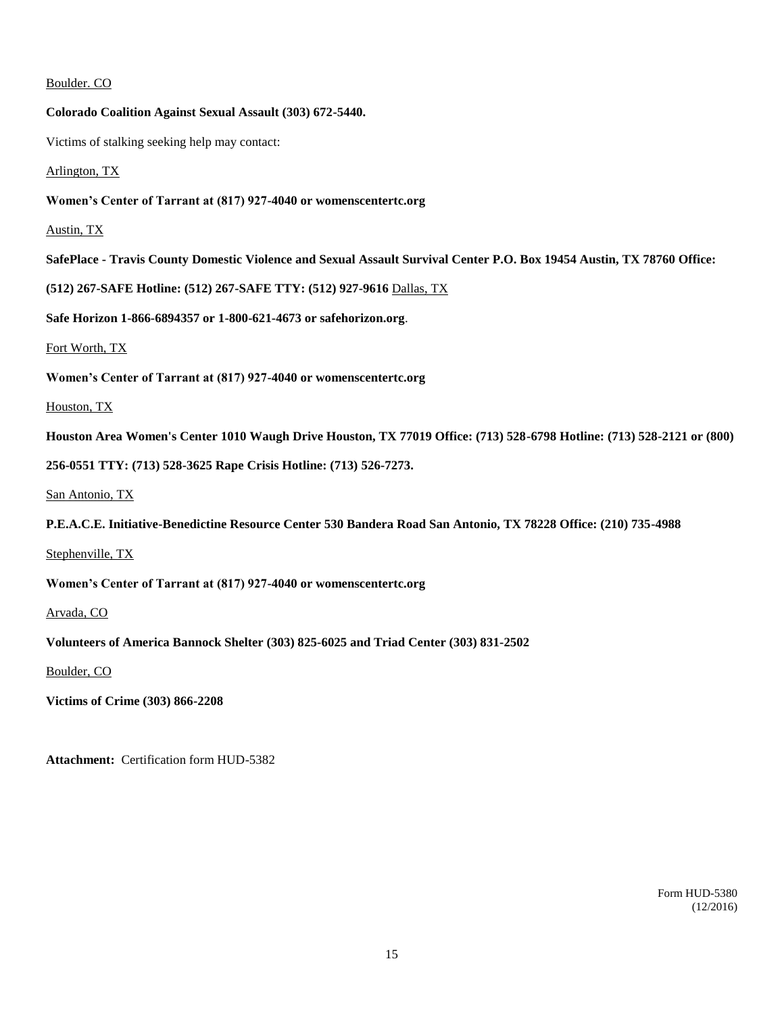Boulder. CO **Colorado Coalition Against Sexual Assault (303) 672-5440.** Victims of stalking seeking help may contact: Arlington, TX **Women's Center of Tarrant at (817) 927-4040 or womenscentertc.org** Austin, TX **SafePlace - Travis County Domestic Violence and Sexual Assault Survival Center P.O. Box 19454 Austin, TX 78760 Office: (512) 267-SAFE Hotline: (512) 267-SAFE TTY: (512) 927-9616** Dallas, TX **Safe Horizon 1-866-6894357 or 1-800-621-4673 or safehorizon.org**. Fort Worth, TX **Women's Center of Tarrant at (817) 927-4040 or womenscentertc.org** Houston, TX **Houston Area Women's Center 1010 Waugh Drive Houston, TX 77019 Office: (713) 528-6798 Hotline: (713) 528-2121 or (800) 256-0551 TTY: (713) 528-3625 Rape Crisis Hotline: (713) 526-7273.** San Antonio, TX **P.E.A.C.E. Initiative-Benedictine Resource Center 530 Bandera Road San Antonio, TX 78228 Office: (210) 735-4988**

Stephenville, TX

**Women's Center of Tarrant at (817) 927-4040 or womenscentertc.org**

Arvada, CO

**Volunteers of America Bannock Shelter (303) 825-6025 and Triad Center (303) 831-2502**

Boulder, CO

**Victims of Crime (303) 866-2208**

**Attachment:** Certification form HUD-5382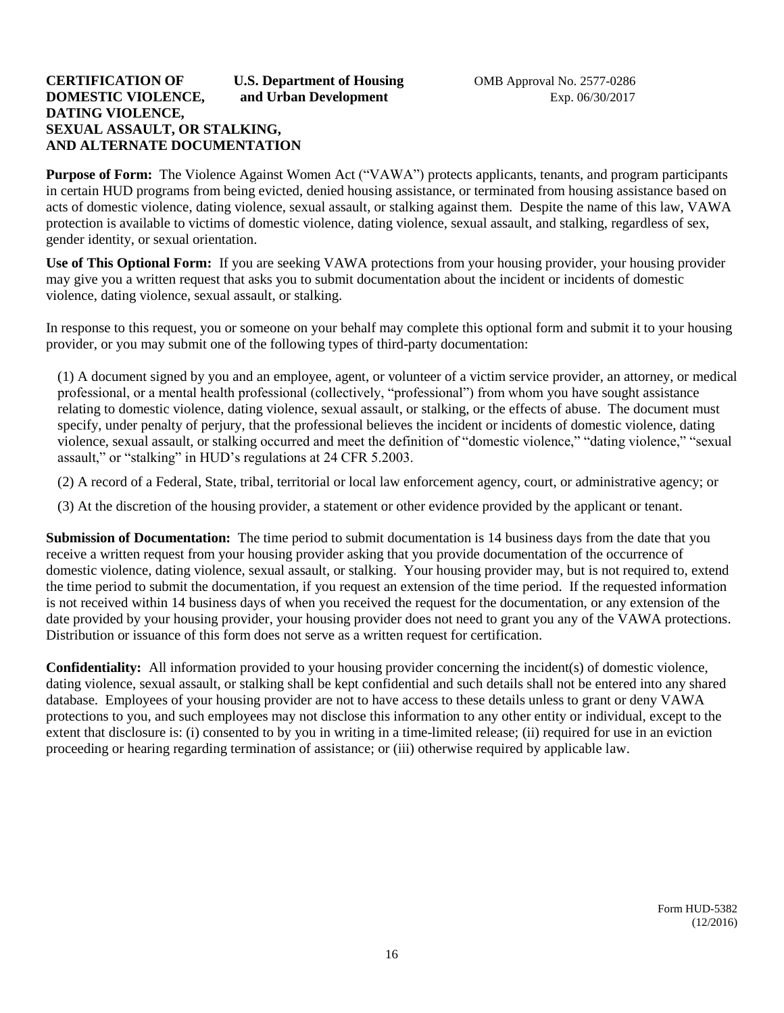#### **CERTIFICATION OF U.S. Department of Housing 6 COMB Approval No. 2577-0286 DOMESTIC VIOLENCE, and Urban Development** Exp. 06/30/2017 **DATING VIOLENCE, SEXUAL ASSAULT, OR STALKING, AND ALTERNATE DOCUMENTATION**

**Purpose of Form:** The Violence Against Women Act ("VAWA") protects applicants, tenants, and program participants in certain HUD programs from being evicted, denied housing assistance, or terminated from housing assistance based on acts of domestic violence, dating violence, sexual assault, or stalking against them. Despite the name of this law, VAWA protection is available to victims of domestic violence, dating violence, sexual assault, and stalking, regardless of sex, gender identity, or sexual orientation.

**Use of This Optional Form:** If you are seeking VAWA protections from your housing provider, your housing provider may give you a written request that asks you to submit documentation about the incident or incidents of domestic violence, dating violence, sexual assault, or stalking.

In response to this request, you or someone on your behalf may complete this optional form and submit it to your housing provider, or you may submit one of the following types of third-party documentation:

(1) A document signed by you and an employee, agent, or volunteer of a victim service provider, an attorney, or medical professional, or a mental health professional (collectively, "professional") from whom you have sought assistance relating to domestic violence, dating violence, sexual assault, or stalking, or the effects of abuse. The document must specify, under penalty of perjury, that the professional believes the incident or incidents of domestic violence, dating violence, sexual assault, or stalking occurred and meet the definition of "domestic violence," "dating violence," "sexual assault," or "stalking" in HUD's regulations at 24 CFR 5.2003.

(2) A record of a Federal, State, tribal, territorial or local law enforcement agency, court, or administrative agency; or

(3) At the discretion of the housing provider, a statement or other evidence provided by the applicant or tenant.

**Submission of Documentation:** The time period to submit documentation is 14 business days from the date that you receive a written request from your housing provider asking that you provide documentation of the occurrence of domestic violence, dating violence, sexual assault, or stalking. Your housing provider may, but is not required to, extend the time period to submit the documentation, if you request an extension of the time period. If the requested information is not received within 14 business days of when you received the request for the documentation, or any extension of the date provided by your housing provider, your housing provider does not need to grant you any of the VAWA protections. Distribution or issuance of this form does not serve as a written request for certification.

**Confidentiality:** All information provided to your housing provider concerning the incident(s) of domestic violence, dating violence, sexual assault, or stalking shall be kept confidential and such details shall not be entered into any shared database. Employees of your housing provider are not to have access to these details unless to grant or deny VAWA protections to you, and such employees may not disclose this information to any other entity or individual, except to the extent that disclosure is: (i) consented to by you in writing in a time-limited release; (ii) required for use in an eviction proceeding or hearing regarding termination of assistance; or (iii) otherwise required by applicable law.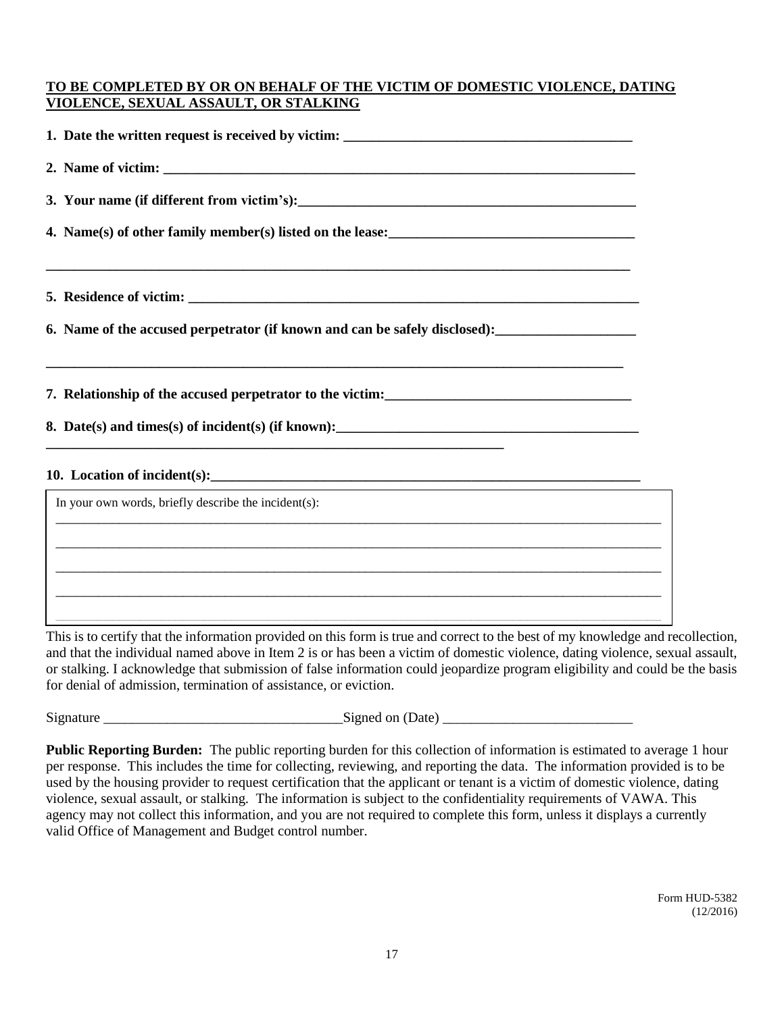### **TO BE COMPLETED BY OR ON BEHALF OF THE VICTIM OF DOMESTIC VIOLENCE, DATING VIOLENCE, SEXUAL ASSAULT, OR STALKING**

| 3. Your name (if different from victim's):                                                                                                                                                                                             |  |
|----------------------------------------------------------------------------------------------------------------------------------------------------------------------------------------------------------------------------------------|--|
| 4. Name(s) of other family member(s) listed on the lease:<br><u>Letting and the set of the set of the set of the set of the set of the set of the set of the set of the set of the set of the set of the set of the set of the set</u> |  |
|                                                                                                                                                                                                                                        |  |
|                                                                                                                                                                                                                                        |  |
| <u> 1989 - Johann Harry Harry Harry Harry Harry Harry Harry Harry Harry Harry Harry Harry Harry Harry Harry Harry</u>                                                                                                                  |  |
|                                                                                                                                                                                                                                        |  |
|                                                                                                                                                                                                                                        |  |
| In your own words, briefly describe the incident(s):                                                                                                                                                                                   |  |
|                                                                                                                                                                                                                                        |  |
|                                                                                                                                                                                                                                        |  |
|                                                                                                                                                                                                                                        |  |
|                                                                                                                                                                                                                                        |  |

This is to certify that the information provided on this form is true and correct to the best of my knowledge and recollection, and that the individual named above in Item 2 is or has been a victim of domestic violence, dating violence, sexual assault, or stalking. I acknowledge that submission of false information could jeopardize program eligibility and could be the basis or stalking. I acknowledge that submission of false information could jeopardize program eligibili for denial of admission, termination of assistance, or eviction.

 $Signed on (Date)$ 

**Public Reporting Burden:** The public reporting burden for this collection of information is estimated to average 1 hour per response. This includes the time for collecting, reviewing, and reporting the data. The information provided is to be used by the housing provider to request certification that the applicant or tenant is a victim of domestic violence, dating violence, sexual assault, or stalking. The information is subject to the confidentiality requirements of VAWA. This agency may not collect this information, and you are not required to complete this form, unless it displays a currently valid Office of Management and Budget control number.